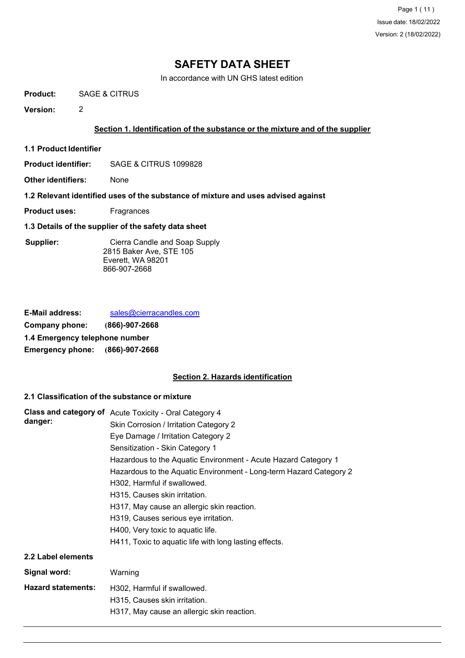Page 1 ( 11 ) Issue date: 18/02/2022 Version: 2 (18/02/2022)

# **SAFETY DATA SHEET**

In accordance with UN GHS latest edition

**Product:** SAGE & CITRUS

**Version:** 2

#### **Section 1. Identification of the substance or the mixture and of the supplier**

- **1.1 Product Identifier**
- **Product identifier:** SAGE & CITRUS 1099828
- **Other identifiers:** None
- **1.2 Relevant identified uses of the substance of mixture and uses advised against**
- **Product uses:** Fragrances
- **1.3 Details of the supplier of the safety data sheet**

 **Supplier:** Cierra Candle and Soap Supply 2815 Baker Ave, STE 105 Everett, WA 98201 866-907-2668

| <b>E-Mail address:</b>          | sales@cierracandles.com |  |
|---------------------------------|-------------------------|--|
| Company phone:                  | $(866) - 907 - 2668$    |  |
| 1.4 Emergency telephone number  |                         |  |
| Emergency phone: (866)-907-2668 |                         |  |

#### **Section 2. Hazards identification**

#### **2.1 Classification of the substance or mixture**

| danger:                   | Class and category of Acute Toxicity - Oral Category 4<br>Skin Corrosion / Irritation Category 2<br>Eye Damage / Irritation Category 2<br>Sensitization - Skin Category 1<br>Hazardous to the Aquatic Environment - Acute Hazard Category 1<br>Hazardous to the Aquatic Environment - Long-term Hazard Category 2<br>H302, Harmful if swallowed.<br>H315, Causes skin irritation.<br>H317, May cause an allergic skin reaction.<br>H319, Causes serious eye irritation.<br>H400, Very toxic to aquatic life.<br>H411, Toxic to aquatic life with long lasting effects. |
|---------------------------|------------------------------------------------------------------------------------------------------------------------------------------------------------------------------------------------------------------------------------------------------------------------------------------------------------------------------------------------------------------------------------------------------------------------------------------------------------------------------------------------------------------------------------------------------------------------|
| 2.2 Label elements        |                                                                                                                                                                                                                                                                                                                                                                                                                                                                                                                                                                        |
| Signal word:              | Warning                                                                                                                                                                                                                                                                                                                                                                                                                                                                                                                                                                |
| <b>Hazard statements:</b> | H302, Harmful if swallowed.<br>H315, Causes skin irritation.<br>H317, May cause an allergic skin reaction.                                                                                                                                                                                                                                                                                                                                                                                                                                                             |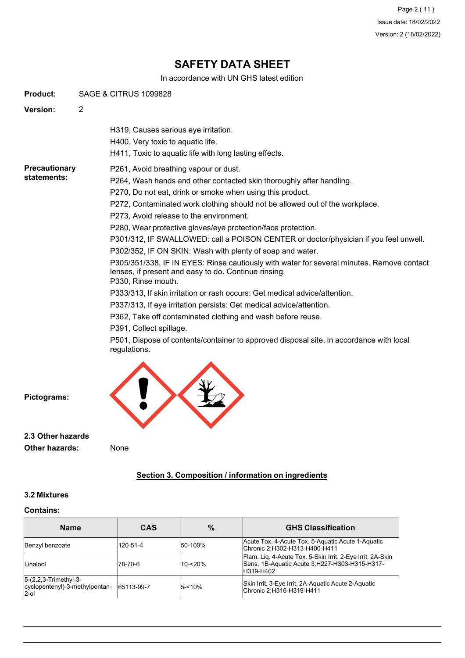In accordance with UN GHS latest edition

**Product:** SAGE & CITRUS 1099828

**Version:** 2

H319, Causes serious eye irritation.

H400, Very toxic to aquatic life.

- H411, Toxic to aquatic life with long lasting effects.
- **Precautionary** P261, Avoid breathing vapour or dust.

# **statements:**

- P264, Wash hands and other contacted skin thoroughly after handling.
- P270, Do not eat, drink or smoke when using this product.
- P272, Contaminated work clothing should not be allowed out of the workplace.
- P273, Avoid release to the environment.

P280, Wear protective gloves/eye protection/face protection.

P301/312, IF SWALLOWED: call a POISON CENTER or doctor/physician if you feel unwell.

P302/352, IF ON SKIN: Wash with plenty of soap and water.

P305/351/338, IF IN EYES: Rinse cautiously with water for several minutes. Remove contact lenses, if present and easy to do. Continue rinsing. P330, Rinse mouth.

P333/313, If skin irritation or rash occurs: Get medical advice/attention.

P337/313, If eye irritation persists: Get medical advice/attention.

P362, Take off contaminated clothing and wash before reuse.

P391, Collect spillage.

P501, Dispose of contents/container to approved disposal site, in accordance with local regulations.



**Pictograms:**

**2.3 Other hazards Other hazards:**

None

## **Section 3. Composition / information on ingredients**

#### **3.2 Mixtures**

#### **Contains:**

| <b>Name</b>                                                          | <b>CAS</b> | %         | <b>GHS Classification</b>                                                                                                |
|----------------------------------------------------------------------|------------|-----------|--------------------------------------------------------------------------------------------------------------------------|
| Benzyl benzoate                                                      | 120-51-4   | 50-100%   | Acute Tox. 4-Acute Tox. 5-Aquatic Acute 1-Aquatic<br>Chronic 2;H302-H313-H400-H411                                       |
| Linalool                                                             | 78-70-6    | 10-<20%   | Flam. Lig. 4-Acute Tox. 5-Skin Irrit. 2-Eye Irrit. 2A-Skin<br>Sens. 1B-Aquatic Acute 3:H227-H303-H315-H317-<br>H319-H402 |
| $5-(2,2,3-Trimethyl-3-$<br>cyclopentenyl)-3-methylpentan-<br>$2$ -ol | 65113-99-7 | $5 - 10%$ | Skin Irrit. 3-Eye Irrit. 2A-Aquatic Acute 2-Aquatic<br>Chronic 2;H316-H319-H411                                          |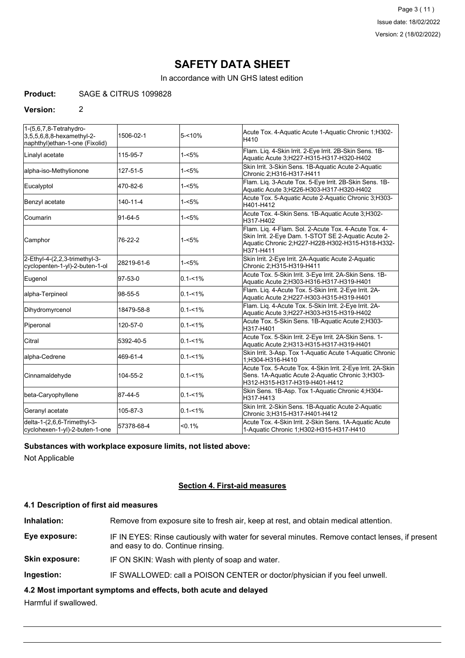In accordance with UN GHS latest edition

#### **Product:** SAGE & CITRUS 1099828

#### **Version:** 2

| 1-(5,6,7,8-Tetrahydro-<br>$3,5,5,6,8,8$ -hexamethyl-2-<br>naphthyl)ethan-1-one (Fixolid) | 1506-02-1  | $5 - 10%$   | Acute Tox. 4-Aquatic Acute 1-Aquatic Chronic 1; H302-<br>H410                                                                                                                |  |
|------------------------------------------------------------------------------------------|------------|-------------|------------------------------------------------------------------------------------------------------------------------------------------------------------------------------|--|
| Linalyl acetate                                                                          | 115-95-7   | $1 - 5%$    | Flam. Lig. 4-Skin Irrit. 2-Eye Irrit. 2B-Skin Sens. 1B-<br>Aquatic Acute 3;H227-H315-H317-H320-H402                                                                          |  |
| alpha-iso-Methylionone                                                                   | 127-51-5   | $1 - 5%$    | Skin Irrit. 3-Skin Sens. 1B-Aquatic Acute 2-Aquatic<br>Chronic 2;H316-H317-H411                                                                                              |  |
| Eucalyptol                                                                               | 470-82-6   | $1 - 5%$    | Flam. Liq. 3-Acute Tox. 5-Eye Irrit. 2B-Skin Sens. 1B-<br>Aquatic Acute 3;H226-H303-H317-H320-H402                                                                           |  |
| Benzyl acetate                                                                           | 140-11-4   | $1 - 5%$    | Acute Tox. 5-Aquatic Acute 2-Aquatic Chronic 3:H303-<br>H401-H412                                                                                                            |  |
| Coumarin                                                                                 | 91-64-5    | $1 - 5%$    | Acute Tox. 4-Skin Sens. 1B-Aquatic Acute 3; H302-<br>H317-H402                                                                                                               |  |
| Camphor                                                                                  | 76-22-2    | $1 - 5%$    | Flam. Liq. 4-Flam. Sol. 2-Acute Tox. 4-Acute Tox. 4-<br>Skin Irrit. 2-Eye Dam. 1-STOT SE 2-Aquatic Acute 2-<br>Aquatic Chronic 2;H227-H228-H302-H315-H318-H332-<br>H371-H411 |  |
| 2-Ethyl-4-(2,2,3-trimethyl-3-<br>cyclopenten-1-yl)-2-buten-1-ol                          | 28219-61-6 | $1 - 5%$    | Skin Irrit. 2-Eye Irrit. 2A-Aquatic Acute 2-Aquatic<br>Chronic 2:H315-H319-H411                                                                                              |  |
| Eugenol                                                                                  | 97-53-0    | $0.1 - 1\%$ | Acute Tox. 5-Skin Irrit. 3-Eye Irrit. 2A-Skin Sens. 1B-<br>Aquatic Acute 2;H303-H316-H317-H319-H401                                                                          |  |
| alpha-Terpineol                                                                          | 98-55-5    | $0.1 - 1\%$ | Flam. Liq. 4-Acute Tox. 5-Skin Irrit. 2-Eye Irrit. 2A-<br>Aquatic Acute 2;H227-H303-H315-H319-H401                                                                           |  |
| Dihydromyrcenol                                                                          | 18479-58-8 | $0.1 - 1\%$ | Flam. Liq. 4-Acute Tox. 5-Skin Irrit. 2-Eye Irrit. 2A-<br>Aquatic Acute 3;H227-H303-H315-H319-H402                                                                           |  |
| Piperonal                                                                                | 120-57-0   | $0.1 - 1\%$ | Acute Tox. 5-Skin Sens. 1B-Aquatic Acute 2; H303-<br>H317-H401                                                                                                               |  |
| Citral                                                                                   | 5392-40-5  | $0.1 - 1\%$ | Acute Tox. 5-Skin Irrit. 2-Eye Irrit. 2A-Skin Sens. 1-<br>Aquatic Acute 2; H313-H315-H317-H319-H401                                                                          |  |
| alpha-Cedrene                                                                            | 469-61-4   | $0.1 - 1\%$ | Skin Irrit. 3-Asp. Tox 1-Aquatic Acute 1-Aquatic Chronic<br>1;H304-H316-H410                                                                                                 |  |
| Cinnamaldehyde                                                                           | 104-55-2   | $0.1 - 1%$  | Acute Tox. 5-Acute Tox. 4-Skin Irrit. 2-Eye Irrit. 2A-Skin<br>Sens. 1A-Aquatic Acute 2-Aquatic Chronic 3;H303-<br>H312-H315-H317-H319-H401-H412                              |  |
| beta-Caryophyllene                                                                       | 87-44-5    | $0.1 - 1\%$ | Skin Sens. 1B-Asp. Tox 1-Aquatic Chronic 4; H304-<br>H317-H413                                                                                                               |  |
| Geranyl acetate                                                                          | 105-87-3   | $0.1 - 1\%$ | Skin Irrit. 2-Skin Sens. 1B-Aquatic Acute 2-Aquatic<br>Chronic 3;H315-H317-H401-H412                                                                                         |  |
| delta-1-(2,6,6-Trimethyl-3-<br>cyclohexen-1-yl)-2-buten-1-one                            | 57378-68-4 | $< 0.1\%$   | Acute Tox. 4-Skin Irrit. 2-Skin Sens. 1A-Aquatic Acute<br>1-Aquatic Chronic 1; H302-H315-H317-H410                                                                           |  |

#### **Substances with workplace exposure limits, not listed above:**

Not Applicable

#### **Section 4. First-aid measures**

#### **4.1 Description of first aid measures**

**Inhalation:** Remove from exposure site to fresh air, keep at rest, and obtain medical attention.

**Eye exposure:** IF IN EYES: Rinse cautiously with water for several minutes. Remove contact lenses, if present and easy to do. Continue rinsing.

**Skin exposure:** IF ON SKIN: Wash with plenty of soap and water.

**Ingestion:** IF SWALLOWED: call a POISON CENTER or doctor/physician if you feel unwell.

**4.2 Most important symptoms and effects, both acute and delayed**

Harmful if swallowed.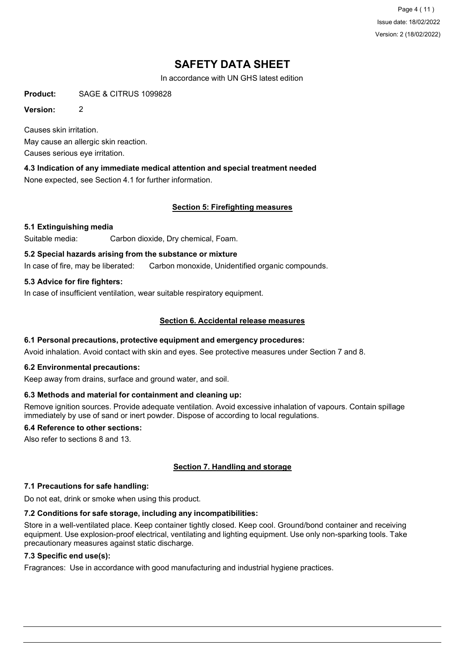Page 4 ( 11 ) Issue date: 18/02/2022 Version: 2 (18/02/2022)

# **SAFETY DATA SHEET**

In accordance with UN GHS latest edition

**Product:** SAGE & CITRUS 1099828

**Version:** 2

Causes skin irritation. May cause an allergic skin reaction. Causes serious eye irritation.

**4.3 Indication of any immediate medical attention and special treatment needed** None expected, see Section 4.1 for further information.

## **Section 5: Firefighting measures**

### **5.1 Extinguishing media**

Suitable media: Carbon dioxide, Dry chemical, Foam.

#### **5.2 Special hazards arising from the substance or mixture**

In case of fire, may be liberated: Carbon monoxide, Unidentified organic compounds.

### **5.3 Advice for fire fighters:**

In case of insufficient ventilation, wear suitable respiratory equipment.

### **Section 6. Accidental release measures**

#### **6.1 Personal precautions, protective equipment and emergency procedures:**

Avoid inhalation. Avoid contact with skin and eyes. See protective measures under Section 7 and 8.

#### **6.2 Environmental precautions:**

Keep away from drains, surface and ground water, and soil.

#### **6.3 Methods and material for containment and cleaning up:**

Remove ignition sources. Provide adequate ventilation. Avoid excessive inhalation of vapours. Contain spillage immediately by use of sand or inert powder. Dispose of according to local regulations.

#### **6.4 Reference to other sections:**

Also refer to sections 8 and 13.

## **Section 7. Handling and storage**

#### **7.1 Precautions for safe handling:**

Do not eat, drink or smoke when using this product.

#### **7.2 Conditions for safe storage, including any incompatibilities:**

Store in a well-ventilated place. Keep container tightly closed. Keep cool. Ground/bond container and receiving equipment. Use explosion-proof electrical, ventilating and lighting equipment. Use only non-sparking tools. Take precautionary measures against static discharge.

#### **7.3 Specific end use(s):**

Fragrances: Use in accordance with good manufacturing and industrial hygiene practices.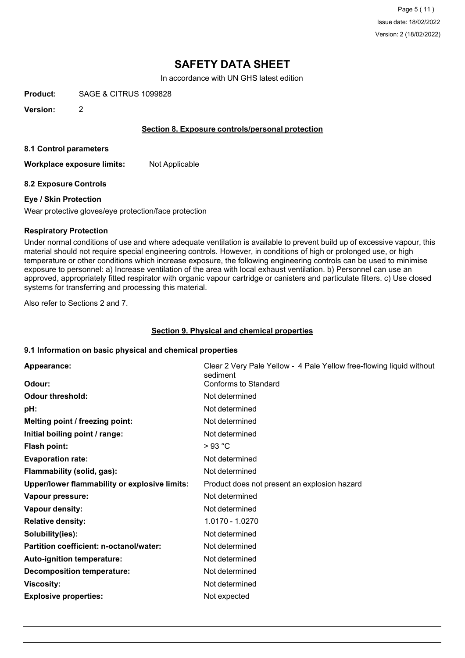In accordance with UN GHS latest edition

**Product:** SAGE & CITRUS 1099828

**Version:** 2

#### **Section 8. Exposure controls/personal protection**

**8.1 Control parameters**

**Workplace exposure limits:** Not Applicable

#### **8.2 Exposure Controls**

#### **Eye / Skin Protection**

Wear protective gloves/eye protection/face protection

#### **Respiratory Protection**

Under normal conditions of use and where adequate ventilation is available to prevent build up of excessive vapour, this material should not require special engineering controls. However, in conditions of high or prolonged use, or high temperature or other conditions which increase exposure, the following engineering controls can be used to minimise exposure to personnel: a) Increase ventilation of the area with local exhaust ventilation. b) Personnel can use an approved, appropriately fitted respirator with organic vapour cartridge or canisters and particulate filters. c) Use closed systems for transferring and processing this material.

Also refer to Sections 2 and 7.

#### **Section 9. Physical and chemical properties**

#### **9.1 Information on basic physical and chemical properties**

| Appearance:<br>Odour:                         | Clear 2 Very Pale Yellow - 4 Pale Yellow free-flowing liquid without<br>sediment<br>Conforms to Standard |
|-----------------------------------------------|----------------------------------------------------------------------------------------------------------|
|                                               |                                                                                                          |
| <b>Odour threshold:</b>                       | Not determined                                                                                           |
| pH:                                           | Not determined                                                                                           |
| Melting point / freezing point:               | Not determined                                                                                           |
| Initial boiling point / range:                | Not determined                                                                                           |
| <b>Flash point:</b>                           | >93 °C                                                                                                   |
| <b>Evaporation rate:</b>                      | Not determined                                                                                           |
| Flammability (solid, gas):                    | Not determined                                                                                           |
| Upper/lower flammability or explosive limits: | Product does not present an explosion hazard                                                             |
| Vapour pressure:                              | Not determined                                                                                           |
| <b>Vapour density:</b>                        | Not determined                                                                                           |
| <b>Relative density:</b>                      | 1.0170 - 1.0270                                                                                          |
| Solubility(ies):                              | Not determined                                                                                           |
| Partition coefficient: n-octanol/water:       | Not determined                                                                                           |
| Auto-ignition temperature:                    | Not determined                                                                                           |
| <b>Decomposition temperature:</b>             | Not determined                                                                                           |
| <b>Viscosity:</b>                             | Not determined                                                                                           |
| <b>Explosive properties:</b>                  | Not expected                                                                                             |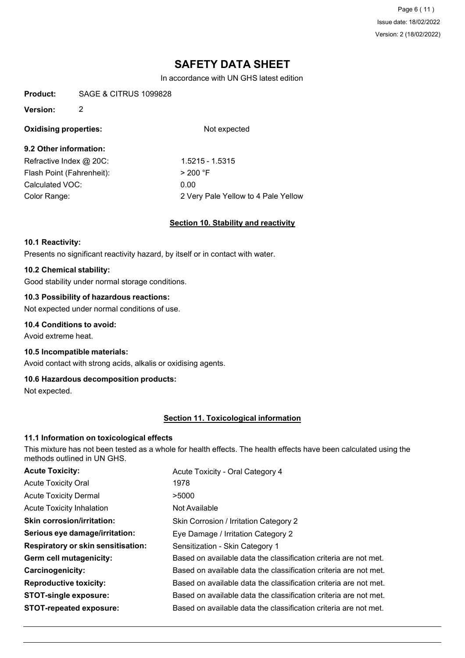Page 6 ( 11 ) Issue date: 18/02/2022 Version: 2 (18/02/2022)

# **SAFETY DATA SHEET**

In accordance with UN GHS latest edition

**Product:** SAGE & CITRUS 1099828

#### **Version:** 2

## **Oxidising properties:** Not expected

## **9.2 Other information:**

Refractive Index @ 20C: 1.5215 - 1.5315 Flash Point (Fahrenheit):  $> 200 °F$ Calculated VOC: 0.00

Color Range: 2 Very Pale Yellow to 4 Pale Yellow

### **Section 10. Stability and reactivity**

#### **10.1 Reactivity:**

Presents no significant reactivity hazard, by itself or in contact with water.

#### **10.2 Chemical stability:**

Good stability under normal storage conditions.

#### **10.3 Possibility of hazardous reactions:**

Not expected under normal conditions of use.

#### **10.4 Conditions to avoid:**

Avoid extreme heat.

#### **10.5 Incompatible materials:**

Avoid contact with strong acids, alkalis or oxidising agents.

#### **10.6 Hazardous decomposition products:**

Not expected.

#### **Section 11. Toxicological information**

#### **11.1 Information on toxicological effects**

This mixture has not been tested as a whole for health effects. The health effects have been calculated using the methods outlined in UN GHS.

| <b>Acute Toxicity:</b>                    | Acute Toxicity - Oral Category 4                                 |
|-------------------------------------------|------------------------------------------------------------------|
| <b>Acute Toxicity Oral</b>                | 1978                                                             |
| <b>Acute Toxicity Dermal</b>              | >5000                                                            |
| <b>Acute Toxicity Inhalation</b>          | Not Available                                                    |
| <b>Skin corrosion/irritation:</b>         | Skin Corrosion / Irritation Category 2                           |
| Serious eye damage/irritation:            | Eye Damage / Irritation Category 2                               |
| <b>Respiratory or skin sensitisation:</b> | Sensitization - Skin Category 1                                  |
| Germ cell mutagenicity:                   | Based on available data the classification criteria are not met. |
| <b>Carcinogenicity:</b>                   | Based on available data the classification criteria are not met. |
| <b>Reproductive toxicity:</b>             | Based on available data the classification criteria are not met. |
| <b>STOT-single exposure:</b>              | Based on available data the classification criteria are not met. |
| <b>STOT-repeated exposure:</b>            | Based on available data the classification criteria are not met. |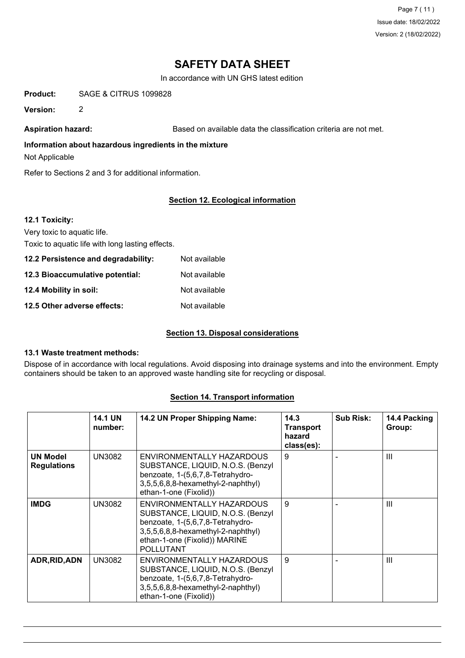Page 7 ( 11 ) Issue date: 18/02/2022 Version: 2 (18/02/2022)

# **SAFETY DATA SHEET**

In accordance with UN GHS latest edition

**Product:** SAGE & CITRUS 1099828

**Version:** 2

Aspiration hazard: **Based on available data the classification criteria are not met.** 

#### **Information about hazardous ingredients in the mixture**

Not Applicable

Refer to Sections 2 and 3 for additional information.

## **Section 12. Ecological information**

| 12.1 Toxicity:                                   |               |
|--------------------------------------------------|---------------|
| Very toxic to aquatic life.                      |               |
| Toxic to aquatic life with long lasting effects. |               |
| 12.2 Persistence and degradability:              | Not available |
| 12.3 Bioaccumulative potential:                  | Not available |
| 12.4 Mobility in soil:                           | Not available |
| 12.5 Other adverse effects:                      | Not available |

## **Section 13. Disposal considerations**

#### **13.1 Waste treatment methods:**

Dispose of in accordance with local regulations. Avoid disposing into drainage systems and into the environment. Empty containers should be taken to an approved waste handling site for recycling or disposal.

### **Section 14. Transport information**

|                                       | <b>14.1 UN</b><br>number: | 14.2 UN Proper Shipping Name:                                                                                                                                                                 | 14.3<br><b>Transport</b><br>hazard<br>class(es): | <b>Sub Risk:</b> | 14.4 Packing<br>Group: |
|---------------------------------------|---------------------------|-----------------------------------------------------------------------------------------------------------------------------------------------------------------------------------------------|--------------------------------------------------|------------------|------------------------|
| <b>UN Model</b><br><b>Regulations</b> | <b>UN3082</b>             | ENVIRONMENTALLY HAZARDOUS<br>SUBSTANCE, LIQUID, N.O.S. (Benzyl<br>benzoate, 1-(5,6,7,8-Tetrahydro-<br>3,5,5,6,8,8-hexamethyl-2-naphthyl)<br>ethan-1-one (Fixolid))                            | 9                                                |                  | $\mathbf{III}$         |
| <b>IMDG</b>                           | <b>UN3082</b>             | ENVIRONMENTALLY HAZARDOUS<br>SUBSTANCE, LIQUID, N.O.S. (Benzyl<br>benzoate, 1-(5,6,7,8-Tetrahydro-<br>3,5,5,6,8,8-hexamethyl-2-naphthyl)<br>ethan-1-one (Fixolid)) MARINE<br><b>POLLUTANT</b> | 9                                                |                  | $\mathbf{III}$         |
| ADR, RID, ADN                         | <b>UN3082</b>             | ENVIRONMENTALLY HAZARDOUS<br>SUBSTANCE, LIQUID, N.O.S. (Benzyl<br>benzoate, 1-(5,6,7,8-Tetrahydro-<br>3,5,5,6,8,8-hexamethyl-2-naphthyl)<br>ethan-1-one (Fixolid))                            | 9                                                |                  | $\mathbf{III}$         |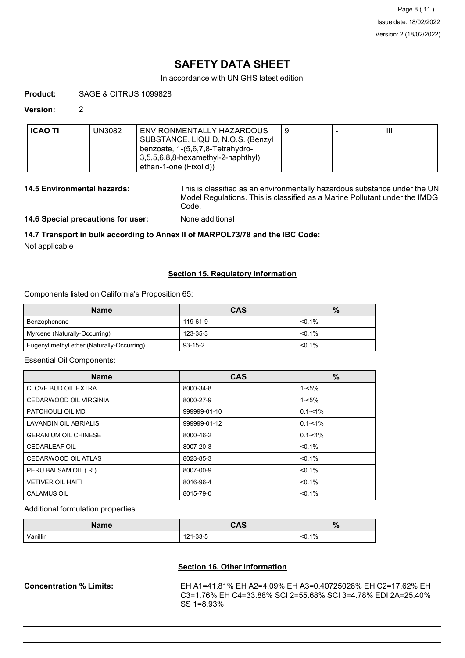In accordance with UN GHS latest edition

#### **Product:** SAGE & CITRUS 1099828

#### **Version:** 2

| <b>ICAO TI</b> | JN3082 | ENVIRONMENTALLY HAZARDOUS<br>SUBSTANCE, LIQUID, N.O.S. (Benzyl  |  | $\mathbf{III}$ |
|----------------|--------|-----------------------------------------------------------------|--|----------------|
|                |        | benzoate, 1-(5,6,7,8-Tetrahydro-                                |  |                |
|                |        | $3,5,5,6,8,8$ -hexamethyl-2-naphthyl)<br>ethan-1-one (Fixolid)) |  |                |

**14.5 Environmental hazards:** This is classified as an environmentally hazardous substance under the UN Model Regulations. This is classified as a Marine Pollutant under the IMDG Code.

**14.6 Special precautions for user:** None additional

## **14.7 Transport in bulk according to Annex II of MARPOL73/78 and the IBC Code:**

Not applicable

### **Section 15. Regulatory information**

Components listed on California's Proposition 65:

| <b>Name</b>                                | <b>CAS</b>    | $\%$      |
|--------------------------------------------|---------------|-----------|
| Benzophenone                               | 119-61-9      | $< 0.1\%$ |
| Myrcene (Naturally-Occurring)              | 123-35-3      | $< 0.1\%$ |
| Eugenyl methyl ether (Naturally-Occurring) | $93 - 15 - 2$ | $< 0.1\%$ |

#### Essential Oil Components:

| <b>Name</b>                 | <b>CAS</b>   | %           |
|-----------------------------|--------------|-------------|
| <b>CLOVE BUD OIL EXTRA</b>  | 8000-34-8    | $1 - 5%$    |
| CEDARWOOD OIL VIRGINIA      | 8000-27-9    | $1 - 5%$    |
| PATCHOULI OIL MD            | 999999-01-10 | $0.1 - 1\%$ |
| LAVANDIN OIL ABRIALIS       | 999999-01-12 | $0.1 - 1\%$ |
| <b>GERANIUM OIL CHINESE</b> | 8000-46-2    | $0.1 - 1\%$ |
| <b>CEDARLEAF OIL</b>        | 8007-20-3    | $< 0.1\%$   |
| CEDARWOOD OIL ATLAS         | 8023-85-3    | $< 0.1\%$   |
| PERU BALSAM OIL (R)         | 8007-00-9    | $< 0.1\%$   |
| <b>VETIVER OIL HAITI</b>    | 8016-96-4    | $< 0.1\%$   |
| <b>CALAMUS OIL</b>          | 8015-79-0    | $< 0.1\%$   |

#### Additional formulation properties

| Name     | <b>CAS</b> | $\mathbf{a}$<br>70 |
|----------|------------|--------------------|
| Vanillin | 121-33-5   | $< 0.1\%$          |

#### **Section 16. Other information**

**Concentration % Limits:** EH A1=41.81% EH A2=4.09% EH A3=0.40725028% EH C2=17.62% EH C3=1.76% EH C4=33.88% SCI 2=55.68% SCI 3=4.78% EDI 2A=25.40% SS 1=8.93%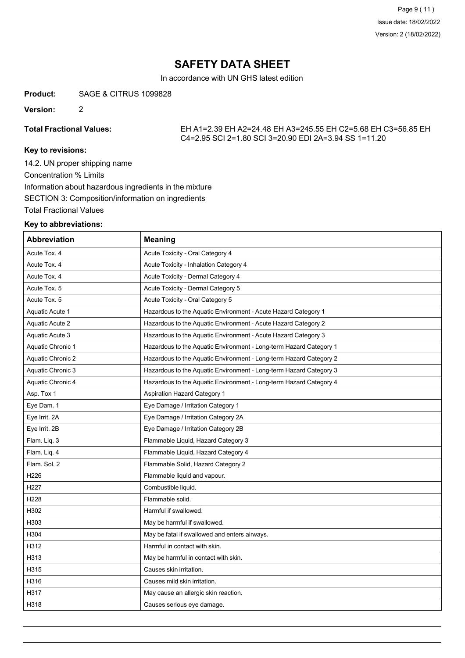In accordance with UN GHS latest edition

#### **Product:** SAGE & CITRUS 1099828

**Version:** 2

**Total Fractional Values:** EH A1=2.39 EH A2=24.48 EH A3=245.55 EH C2=5.68 EH C3=56.85 EH C4=2.95 SCI 2=1.80 SCI 3=20.90 EDI 2A=3.94 SS 1=11.20

## **Key to revisions:**

14.2. UN proper shipping name Concentration % Limits Information about hazardous ingredients in the mixture SECTION 3: Composition/information on ingredients Total Fractional Values

#### **Key to abbreviations:**

| Abbreviation             | <b>Meaning</b>                                                     |
|--------------------------|--------------------------------------------------------------------|
| Acute Tox. 4             | Acute Toxicity - Oral Category 4                                   |
| Acute Tox. 4             | Acute Toxicity - Inhalation Category 4                             |
| Acute Tox. 4             | Acute Toxicity - Dermal Category 4                                 |
| Acute Tox. 5             | Acute Toxicity - Dermal Category 5                                 |
| Acute Tox. 5             | Acute Toxicity - Oral Category 5                                   |
| Aquatic Acute 1          | Hazardous to the Aquatic Environment - Acute Hazard Category 1     |
| Aquatic Acute 2          | Hazardous to the Aquatic Environment - Acute Hazard Category 2     |
| Aquatic Acute 3          | Hazardous to the Aquatic Environment - Acute Hazard Category 3     |
| Aquatic Chronic 1        | Hazardous to the Aquatic Environment - Long-term Hazard Category 1 |
| <b>Aquatic Chronic 2</b> | Hazardous to the Aquatic Environment - Long-term Hazard Category 2 |
| Aquatic Chronic 3        | Hazardous to the Aquatic Environment - Long-term Hazard Category 3 |
| Aquatic Chronic 4        | Hazardous to the Aquatic Environment - Long-term Hazard Category 4 |
| Asp. Tox 1               | <b>Aspiration Hazard Category 1</b>                                |
| Eye Dam. 1               | Eye Damage / Irritation Category 1                                 |
| Eye Irrit. 2A            | Eye Damage / Irritation Category 2A                                |
| Eye Irrit. 2B            | Eye Damage / Irritation Category 2B                                |
| Flam. Liq. 3             | Flammable Liquid, Hazard Category 3                                |
| Flam. Liq. 4             | Flammable Liquid, Hazard Category 4                                |
| Flam, Sol. 2             | Flammable Solid, Hazard Category 2                                 |
| H226                     | Flammable liquid and vapour.                                       |
| H227                     | Combustible liquid.                                                |
| H228                     | Flammable solid.                                                   |
| H302                     | Harmful if swallowed.                                              |
| H303                     | May be harmful if swallowed.                                       |
| H304                     | May be fatal if swallowed and enters airways.                      |
| H312                     | Harmful in contact with skin.                                      |
| H313                     | May be harmful in contact with skin.                               |
| H315                     | Causes skin irritation.                                            |
| H316                     | Causes mild skin irritation.                                       |
| H317                     | May cause an allergic skin reaction.                               |
| H318                     | Causes serious eye damage.                                         |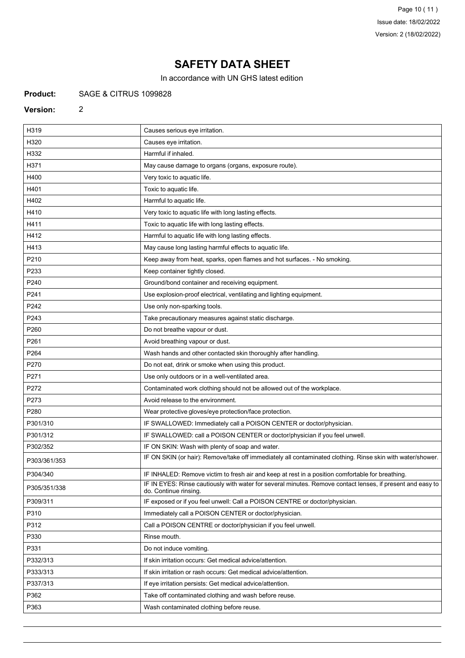In accordance with UN GHS latest edition

#### **Product:** SAGE & CITRUS 1099828

2

#### **Version:**

| H319         | Causes serious eye irritation.                                                                                                      |
|--------------|-------------------------------------------------------------------------------------------------------------------------------------|
| H320         | Causes eye irritation.                                                                                                              |
| H332         | Harmful if inhaled.                                                                                                                 |
| H371         | May cause damage to organs (organs, exposure route).                                                                                |
| H400         | Very toxic to aquatic life.                                                                                                         |
| H401         | Toxic to aquatic life.                                                                                                              |
| H402         | Harmful to aquatic life.                                                                                                            |
| H410         | Very toxic to aquatic life with long lasting effects.                                                                               |
| H411         | Toxic to aquatic life with long lasting effects.                                                                                    |
| H412         | Harmful to aquatic life with long lasting effects.                                                                                  |
| H413         | May cause long lasting harmful effects to aquatic life.                                                                             |
| P210         | Keep away from heat, sparks, open flames and hot surfaces. - No smoking.                                                            |
| P233         | Keep container tightly closed.                                                                                                      |
| P240         | Ground/bond container and receiving equipment.                                                                                      |
| P241         | Use explosion-proof electrical, ventilating and lighting equipment.                                                                 |
| P242         | Use only non-sparking tools.                                                                                                        |
| P243         | Take precautionary measures against static discharge.                                                                               |
| P260         | Do not breathe vapour or dust.                                                                                                      |
| P261         | Avoid breathing vapour or dust.                                                                                                     |
| P264         | Wash hands and other contacted skin thoroughly after handling.                                                                      |
| P270         | Do not eat, drink or smoke when using this product.                                                                                 |
| P271         | Use only outdoors or in a well-ventilated area.                                                                                     |
| P272         | Contaminated work clothing should not be allowed out of the workplace.                                                              |
| P273         | Avoid release to the environment.                                                                                                   |
| P280         | Wear protective gloves/eye protection/face protection.                                                                              |
| P301/310     | IF SWALLOWED: Immediately call a POISON CENTER or doctor/physician.                                                                 |
| P301/312     | IF SWALLOWED: call a POISON CENTER or doctor/physician if you feel unwell.                                                          |
| P302/352     | IF ON SKIN: Wash with plenty of soap and water.                                                                                     |
| P303/361/353 | IF ON SKIN (or hair): Remove/take off immediately all contaminated clothing. Rinse skin with water/shower.                          |
| P304/340     | IF INHALED: Remove victim to fresh air and keep at rest in a position comfortable for breathing.                                    |
| P305/351/338 | IF IN EYES: Rinse cautiously with water for several minutes. Remove contact lenses, if present and easy to<br>do. Continue rinsing. |
| P309/311     | IF exposed or if you feel unwell: Call a POISON CENTRE or doctor/physician.                                                         |
| P310         | Immediately call a POISON CENTER or doctor/physician.                                                                               |
| P312         | Call a POISON CENTRE or doctor/physician if you feel unwell.                                                                        |
| P330         | Rinse mouth.                                                                                                                        |
| P331         | Do not induce vomiting.                                                                                                             |
| P332/313     | If skin irritation occurs: Get medical advice/attention.                                                                            |
| P333/313     | If skin irritation or rash occurs: Get medical advice/attention.                                                                    |
| P337/313     | If eye irritation persists: Get medical advice/attention.                                                                           |
| P362         | Take off contaminated clothing and wash before reuse.                                                                               |
| P363         | Wash contaminated clothing before reuse.                                                                                            |
|              |                                                                                                                                     |